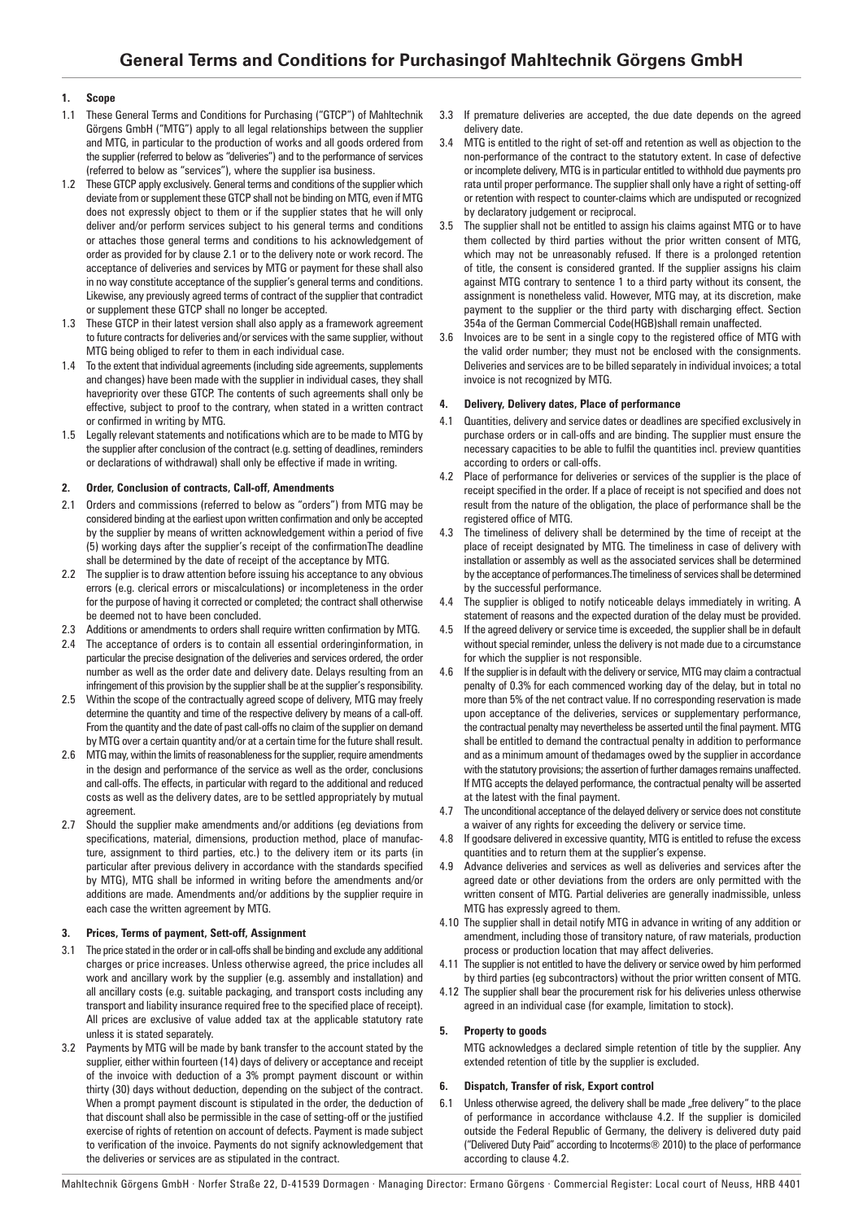# **1. Scope**

- 1.1 These General Terms and Conditions for Purchasing ("GTCP") of Mahltechnik Görgens GmbH ("MTG") apply to all legal relationships between the supplier and MTG, in particular to the production of works and all goods ordered from the supplier (referred to below as "deliveries") and to the performance of services (referred to below as "services"), where the supplier isa business.
- 1.2 These GTCP apply exclusively. General terms and conditions of the supplier which deviate from or supplement these GTCP shall not be binding on MTG, even if MTG does not expressly object to them or if the supplier states that he will only deliver and/or perform services subject to his general terms and conditions or attaches those general terms and conditions to his acknowledgement of order as provided for by clause 2.1 or to the delivery note or work record. The acceptance of deliveries and services by MTG or payment for these shall also in no way constitute acceptance of the supplier's general terms and conditions. Likewise, any previously agreed terms of contract of the supplier that contradict or supplement these GTCP shall no longer be accepted.
- 1.3 These GTCP in their latest version shall also apply as a framework agreement to future contracts for deliveries and/or services with the same supplier, without MTG being obliged to refer to them in each individual case.
- 1.4 To the extent that individual agreements (including side agreements, supplements and changes) have been made with the supplier in individual cases, they shall havepriority over these GTCP. The contents of such agreements shall only be effective, subject to proof to the contrary, when stated in a written contract or confirmed in writing by MTG.
- Legally relevant statements and notifications which are to be made to MTG by the supplier after conclusion of the contract (e.g. setting of deadlines, reminders or declarations of withdrawal) shall only be effective if made in writing.

### **2. Order, Conclusion of contracts, Call-off, Amendments**

- 2.1 Orders and commissions (referred to below as "orders") from MTG may be considered binding at the earliest upon written confirmation and only be accepted by the supplier by means of written acknowledgement within a period of five (5) working days after the supplier's receipt of the confirmationThe deadline shall be determined by the date of receipt of the acceptance by MTG.
- 2.2 The supplier is to draw attention before issuing his acceptance to any obvious errors (e.g. clerical errors or miscalculations) or incompleteness in the order for the purpose of having it corrected or completed; the contract shall otherwise be deemed not to have been concluded.
- 2.3 Additions or amendments to orders shall require written confirmation by MTG.
- 2.4 The acceptance of orders is to contain all essential orderinginformation, in particular the precise designation of the deliveries and services ordered, the order number as well as the order date and delivery date. Delays resulting from an infringement of this provision by the supplier shall be at the supplier's responsibility.
- 2.5 Within the scope of the contractually agreed scope of delivery, MTG may freely determine the quantity and time of the respective delivery by means of a call-off. From the quantity and the date of past call-offs no claim of the supplier on demand by MTG over a certain quantity and/or at a certain time for the future shall result.
- 2.6 MTG may, within the limits of reasonableness for the supplier, require amendments in the design and performance of the service as well as the order, conclusions and call-offs. The effects, in particular with regard to the additional and reduced costs as well as the delivery dates, are to be settled appropriately by mutual agreement.
- 2.7 Should the supplier make amendments and/or additions (eg deviations from specifications, material, dimensions, production method, place of manufacture, assignment to third parties, etc.) to the delivery item or its parts (in particular after previous delivery in accordance with the standards specified by MTG), MTG shall be informed in writing before the amendments and/or additions are made. Amendments and/or additions by the supplier require in each case the written agreement by MTG.

### **3. Prices, Terms of payment, Sett-off, Assignment**

- 3.1 The price stated in the order or in call-offs shall be binding and exclude any additional charges or price increases. Unless otherwise agreed, the price includes all work and ancillary work by the supplier (e.g. assembly and installation) and all ancillary costs (e.g. suitable packaging, and transport costs including any transport and liability insurance required free to the specified place of receipt). All prices are exclusive of value added tax at the applicable statutory rate unless it is stated separately.
- 3.2 Payments by MTG will be made by bank transfer to the account stated by the supplier, either within fourteen (14) days of delivery or acceptance and receipt of the invoice with deduction of a 3% prompt payment discount or within thirty (30) days without deduction, depending on the subject of the contract. When a prompt payment discount is stipulated in the order, the deduction of that discount shall also be permissible in the case of setting-off or the justified exercise of rights of retention on account of defects. Payment is made subject to verification of the invoice. Payments do not signify acknowledgement that the deliveries or services are as stipulated in the contract.
- 3.3 If premature deliveries are accepted, the due date depends on the agreed delivery date.
- MTG is entitled to the right of set-off and retention as well as objection to the non-performance of the contract to the statutory extent. In case of defective or incomplete delivery, MTG is in particular entitled to withhold due payments pro rata until proper performance. The supplier shall only have a right of setting-off or retention with respect to counter-claims which are undisputed or recognized by declaratory judgement or reciprocal.
- 3.5 The supplier shall not be entitled to assign his claims against MTG or to have them collected by third parties without the prior written consent of MTG, which may not be unreasonably refused. If there is a prolonged retention of title, the consent is considered granted. If the supplier assigns his claim against MTG contrary to sentence 1 to a third party without its consent, the assignment is nonetheless valid. However, MTG may, at its discretion, make payment to the supplier or the third party with discharging effect. Section 354a of the German Commercial Code(HGB)shall remain unaffected.
- 3.6 Invoices are to be sent in a single copy to the registered office of MTG with the valid order number; they must not be enclosed with the consignments. Deliveries and services are to be billed separately in individual invoices; a total invoice is not recognized by MTG.

# **4. Delivery, Delivery dates, Place of performance**

- 4.1 Quantities, delivery and service dates or deadlines are specified exclusively in purchase orders or in call-offs and are binding. The supplier must ensure the necessary capacities to be able to fulfil the quantities incl. preview quantities according to orders or call-offs.
- 4.2 Place of performance for deliveries or services of the supplier is the place of receipt specified in the order. If a place of receipt is not specified and does not result from the nature of the obligation, the place of performance shall be the registered office of MTG.
- 4.3 The timeliness of delivery shall be determined by the time of receipt at the place of receipt designated by MTG. The timeliness in case of delivery with installation or assembly as well as the associated services shall be determined by the acceptance of performances.The timeliness of services shall be determined by the successful performance.
- 4.4 The supplier is obliged to notify noticeable delays immediately in writing. A statement of reasons and the expected duration of the delay must be provided.
- 4.5 If the agreed delivery or service time is exceeded, the supplier shall be in default without special reminder, unless the delivery is not made due to a circumstance for which the supplier is not responsible.
- 4.6 If the supplier is in default with the delivery or service, MTG may claim a contractual penalty of 0.3% for each commenced working day of the delay, but in total no more than 5% of the net contract value. If no corresponding reservation is made upon acceptance of the deliveries, services or supplementary performance, the contractual penalty may nevertheless be asserted until the final payment. MTG shall be entitled to demand the contractual penalty in addition to performance and as a minimum amount of thedamages owed by the supplier in accordance with the statutory provisions; the assertion of further damages remains unaffected. If MTG accepts the delayed performance, the contractual penalty will be asserted at the latest with the final payment.
- 4.7 The unconditional acceptance of the delayed delivery or service does not constitute a waiver of any rights for exceeding the delivery or service time.
- 4.8 If goodsare delivered in excessive quantity, MTG is entitled to refuse the excess quantities and to return them at the supplier's expense.
- 4.9 Advance deliveries and services as well as deliveries and services after the agreed date or other deviations from the orders are only permitted with the written consent of MTG. Partial deliveries are generally inadmissible, unless MTG has expressly agreed to them.
- 4.10 The supplier shall in detail notify MTG in advance in writing of any addition or amendment, including those of transitory nature, of raw materials, production process or production location that may affect deliveries.
- 4.11 The supplier is not entitled to have the delivery or service owed by him performed by third parties (eg subcontractors) without the prior written consent of MTG.
- 4.12 The supplier shall bear the procurement risk for his deliveries unless otherwise agreed in an individual case (for example, limitation to stock).

## **5. Property to goods**

MTG acknowledges a declared simple retention of title by the supplier. Any extended retention of title by the supplier is excluded.

# **6. Dispatch, Transfer of risk, Export control**

6.1 Unless otherwise agreed, the delivery shall be made "free delivery" to the place of performance in accordance withclause 4.2. If the supplier is domiciled outside the Federal Republic of Germany, the delivery is delivered duty paid ("Delivered Duty Paid" according to Incoterms® 2010) to the place of performance according to clause 4.2.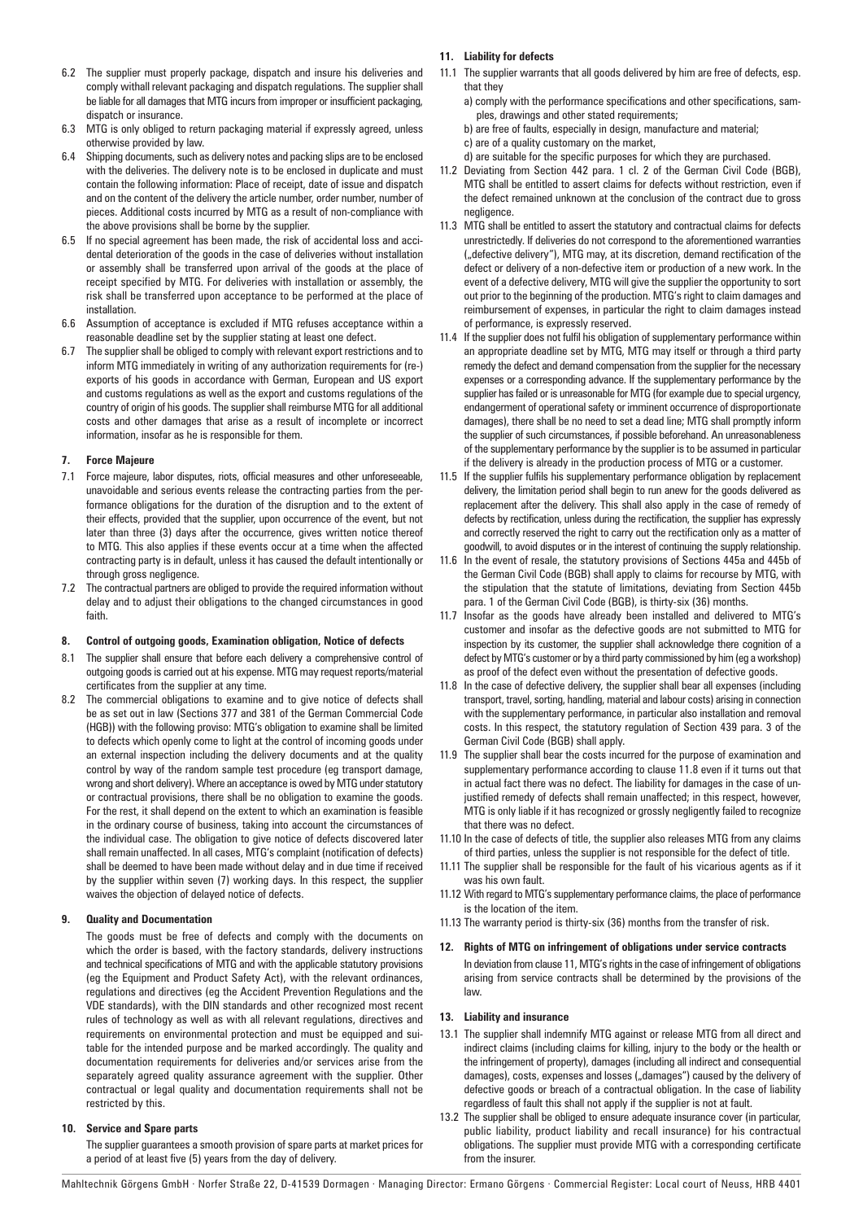- 6.2 The supplier must properly package, dispatch and insure his deliveries and comply withall relevant packaging and dispatch regulations. The supplier shall be liable for all damages that MTG incurs from improper or insufficient packaging, dispatch or insurance.
- 6.3 MTG is only obliged to return packaging material if expressly agreed, unless otherwise provided by law.
- 6.4 Shipping documents, such as delivery notes and packing slips are to be enclosed with the deliveries. The delivery note is to be enclosed in duplicate and must contain the following information: Place of receipt, date of issue and dispatch and on the content of the delivery the article number, order number, number of pieces. Additional costs incurred by MTG as a result of non-compliance with the above provisions shall be borne by the supplier.
- 6.5 If no special agreement has been made, the risk of accidental loss and accidental deterioration of the goods in the case of deliveries without installation or assembly shall be transferred upon arrival of the goods at the place of receipt specified by MTG. For deliveries with installation or assembly, the risk shall be transferred upon acceptance to be performed at the place of installation.
- 6.6 Assumption of acceptance is excluded if MTG refuses acceptance within a reasonable deadline set by the supplier stating at least one defect.
- 6.7 The supplier shall be obliged to comply with relevant export restrictions and to inform MTG immediately in writing of any authorization requirements for (re-) exports of his goods in accordance with German, European and US export and customs regulations as well as the export and customs regulations of the country of origin of his goods. The supplier shall reimburse MTG for all additional costs and other damages that arise as a result of incomplete or incorrect information, insofar as he is responsible for them.

### **7. Force Majeure**

- 7.1 Force majeure, labor disputes, riots, official measures and other unforeseeable, unavoidable and serious events release the contracting parties from the performance obligations for the duration of the disruption and to the extent of their effects, provided that the supplier, upon occurrence of the event, but not later than three (3) days after the occurrence, gives written notice thereof to MTG. This also applies if these events occur at a time when the affected contracting party is in default, unless it has caused the default intentionally or through gross negligence.
- 7.2 The contractual partners are obliged to provide the required information without delay and to adjust their obligations to the changed circumstances in good faith.

### **8. Control of outgoing goods, Examination obligation, Notice of defects**

- 8.1 The supplier shall ensure that before each delivery a comprehensive control of outgoing goods is carried out at his expense. MTG may request reports/material certificates from the supplier at any time.
- 8.2 The commercial obligations to examine and to give notice of defects shall be as set out in law (Sections 377 and 381 of the German Commercial Code (HGB)) with the following proviso: MTG's obligation to examine shall be limited to defects which openly come to light at the control of incoming goods under an external inspection including the delivery documents and at the quality control by way of the random sample test procedure (eg transport damage, wrong and short delivery). Where an acceptance is owed by MTG under statutory or contractual provisions, there shall be no obligation to examine the goods. For the rest, it shall depend on the extent to which an examination is feasible in the ordinary course of business, taking into account the circumstances of the individual case. The obligation to give notice of defects discovered later shall remain unaffected. In all cases, MTG's complaint (notification of defects) shall be deemed to have been made without delay and in due time if received by the supplier within seven (7) working days. In this respect, the supplier waives the objection of delayed notice of defects.

### **9. Quality and Documentation**

The goods must be free of defects and comply with the documents on which the order is based, with the factory standards, delivery instructions and technical specifications of MTG and with the applicable statutory provisions (eg the Equipment and Product Safety Act), with the relevant ordinances, regulations and directives (eg the Accident Prevention Regulations and the VDE standards), with the DIN standards and other recognized most recent rules of technology as well as with all relevant regulations, directives and requirements on environmental protection and must be equipped and suitable for the intended purpose and be marked accordingly. The quality and documentation requirements for deliveries and/or services arise from the separately agreed quality assurance agreement with the supplier. Other contractual or legal quality and documentation requirements shall not be restricted by this.

#### **10. Service and Spare parts**

The supplier guarantees a smooth provision of spare parts at market prices for a period of at least five (5) years from the day of delivery.

# **11. Liability for defects**

- 11.1 The supplier warrants that all goods delivered by him are free of defects, esp. that they
	- a) comply with the performance specifications and other specifications, samples, drawings and other stated requirements;
	- b) are free of faults, especially in design, manufacture and material;
	- c) are of a quality customary on the market,
	- d) are suitable for the specific purposes for which they are purchased.
- 11.2 Deviating from Section 442 para. 1 cl. 2 of the German Civil Code (BGB), MTG shall be entitled to assert claims for defects without restriction, even if the defect remained unknown at the conclusion of the contract due to gross negligence.
- 11.3 MTG shall be entitled to assert the statutory and contractual claims for defects unrestrictedly. If deliveries do not correspond to the aforementioned warranties ("defective delivery"), MTG may, at its discretion, demand rectification of the defect or delivery of a non-defective item or production of a new work. In the event of a defective delivery, MTG will give the supplier the opportunity to sort out prior to the beginning of the production. MTG's right to claim damages and reimbursement of expenses, in particular the right to claim damages instead of performance, is expressly reserved.
- 11.4 If the supplier does not fulfil his obligation of supplementary performance within an appropriate deadline set by MTG, MTG may itself or through a third party remedy the defect and demand compensation from the supplier for the necessary expenses or a corresponding advance. If the supplementary performance by the supplier has failed or is unreasonable for MTG (for example due to special urgency, endangerment of operational safety or imminent occurrence of disproportionate damages), there shall be no need to set a dead line; MTG shall promptly inform the supplier of such circumstances, if possible beforehand. An unreasonableness of the supplementary performance by the supplier is to be assumed in particular if the delivery is already in the production process of MTG or a customer.
- 11.5 If the supplier fulfils his supplementary performance obligation by replacement delivery, the limitation period shall begin to run anew for the goods delivered as replacement after the delivery. This shall also apply in the case of remedy of defects by rectification, unless during the rectification, the supplier has expressly and correctly reserved the right to carry out the rectification only as a matter of goodwill, to avoid disputes or in the interest of continuing the supply relationship.
- 11.6 In the event of resale, the statutory provisions of Sections 445a and 445b of the German Civil Code (BGB) shall apply to claims for recourse by MTG, with the stipulation that the statute of limitations, deviating from Section 445b para. 1 of the German Civil Code (BGB), is thirty-six (36) months.
- 11.7 Insofar as the goods have already been installed and delivered to MTG's customer and insofar as the defective goods are not submitted to MTG for inspection by its customer, the supplier shall acknowledge there cognition of a defect by MTG's customer or by a third party commissioned by him (eg a workshop) as proof of the defect even without the presentation of defective goods.
- 11.8 In the case of defective delivery, the supplier shall bear all expenses (including transport, travel, sorting, handling, material and labour costs) arising in connection with the supplementary performance, in particular also installation and removal costs. In this respect, the statutory regulation of Section 439 para. 3 of the German Civil Code (BGB) shall apply.
- 11.9 The supplier shall bear the costs incurred for the purpose of examination and supplementary performance according to clause 11.8 even if it turns out that in actual fact there was no defect. The liability for damages in the case of unjustified remedy of defects shall remain unaffected; in this respect, however, MTG is only liable if it has recognized or grossly negligently failed to recognize that there was no defect.
- 11.10 In the case of defects of title, the supplier also releases MTG from any claims of third parties, unless the supplier is not responsible for the defect of title.
- 11.11 The supplier shall be responsible for the fault of his vicarious agents as if it was his own fault.
- 11.12 With regard to MTG's supplementary performance claims, the place of performance is the location of the item.
- 11.13 The warranty period is thirty-six (36) months from the transfer of risk.

#### **12. Rights of MTG on infringement of obligations under service contracts**

In deviation from clause 11, MTG's rights in the case of infringement of obligations arising from service contracts shall be determined by the provisions of the law.

#### **13. Liability and insurance**

- 13.1 The supplier shall indemnify MTG against or release MTG from all direct and indirect claims (including claims for killing, injury to the body or the health or the infringement of property), damages (including all indirect and consequential damages), costs, expenses and losses ("damages") caused by the delivery of defective goods or breach of a contractual obligation. In the case of liability regardless of fault this shall not apply if the supplier is not at fault.
- 13.2 The supplier shall be obliged to ensure adequate insurance cover (in particular, public liability, product liability and recall insurance) for his contractual obligations. The supplier must provide MTG with a corresponding certificate from the insurer.

Mahltechnik Görgens GmbH · Norfer Straße 22, D-41539 Dormagen · Managing Director: Ermano Görgens · Commercial Register: Local court of Neuss, HRB 4401